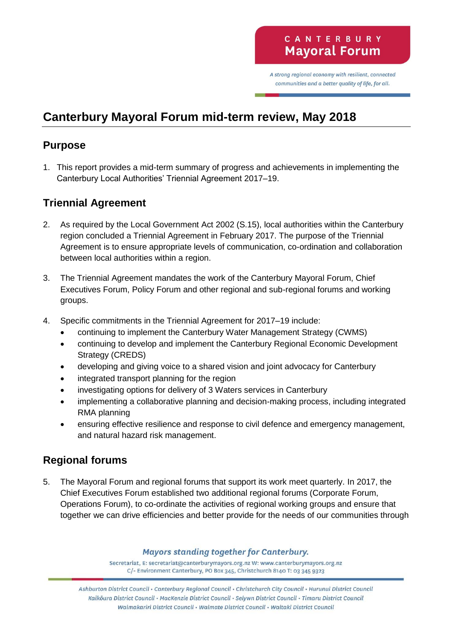A strong regional economy with resilient, connected communities and a better quality of life, for all.

# **Canterbury Mayoral Forum mid-term review, May 2018**

### **Purpose**

1. This report provides a mid-term summary of progress and achievements in implementing the Canterbury Local Authorities' Triennial Agreement 2017–19.

## **Triennial Agreement**

- 2. As required by the Local Government Act 2002 (S.15), local authorities within the Canterbury region concluded a Triennial Agreement in February 2017. The purpose of the Triennial Agreement is to ensure appropriate levels of communication, co-ordination and collaboration between local authorities within a region.
- 3. The Triennial Agreement mandates the work of the Canterbury Mayoral Forum, Chief Executives Forum, Policy Forum and other regional and sub-regional forums and working groups.
- 4. Specific commitments in the Triennial Agreement for 2017–19 include:
	- continuing to implement the Canterbury Water Management Strategy (CWMS)
	- continuing to develop and implement the Canterbury Regional Economic Development Strategy (CREDS)
	- developing and giving voice to a shared vision and joint advocacy for Canterbury
	- integrated transport planning for the region
	- investigating options for delivery of 3 Waters services in Canterbury
	- implementing a collaborative planning and decision-making process, including integrated RMA planning
	- ensuring effective resilience and response to civil defence and emergency management, and natural hazard risk management.

# **Regional forums**

5. The Mayoral Forum and regional forums that support its work meet quarterly. In 2017, the Chief Executives Forum established two additional regional forums (Corporate Forum, Operations Forum), to co-ordinate the activities of regional working groups and ensure that together we can drive efficiencies and better provide for the needs of our communities through

#### **Mayors standing together for Canterbury.**

Secretariat, E: secretariat@canterburymayors.org.nz W: www.canterburymayors.org.nz C/- Environment Canterbury, PO Box 345, Christchurch 8140 T: 03 345 9323

Ashburton District Council · Canterbury Regional Council · Christchurch City Council · Hurunui District Council Kaikoura District Council · MacKenzie District Council · Selywn District Council · Timaru District Council Waimakariri District Council · Waimate District Council · Waitaki District Council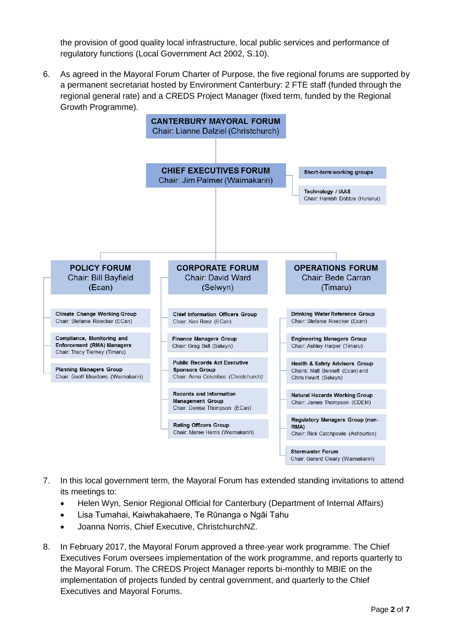the provision of good quality local infrastructure, local public services and performance of regulatory functions (Local Government Act 2002, S.10).

6. As agreed in the Mayoral Forum Charter of Purpose, the five regional forums are supported by a permanent secretariat hosted by Environment Canterbury: 2 FTE staff (funded through the regional general rate) and a CREDS Project Manager (fixed term, funded by the Regional Growth Programme).



- 7. In this local government term, the Mayoral Forum has extended standing invitations to attend its meetings to:
	- Helen Wyn, Senior Regional Official for Canterbury (Department of Internal Affairs)
	- Lisa Tumahai, Kaiwhakahaere, Te Rūnanga o Ngāi Tahu
	- Joanna Norris, Chief Executive, ChristchurchNZ.
- 8. In February 2017, the Mayoral Forum approved a three-year work programme. The Chief Executives Forum oversees implementation of the work programme, and reports quarterly to the Mayoral Forum. The CREDS Project Manager reports bi-monthly to MBIE on the implementation of projects funded by central government, and quarterly to the Chief Executives and Mayoral Forums.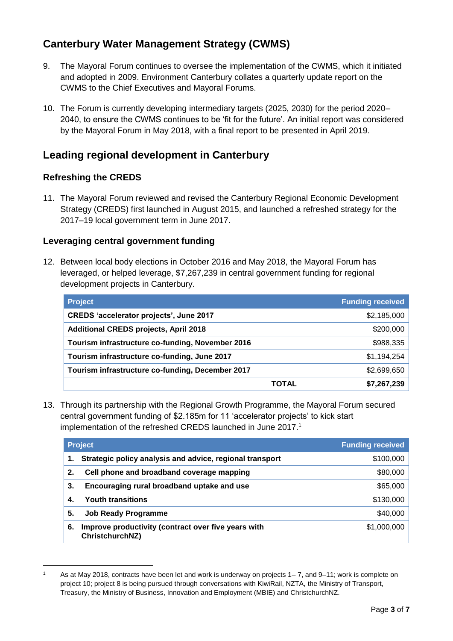# **Canterbury Water Management Strategy (CWMS)**

- 9. The Mayoral Forum continues to oversee the implementation of the CWMS, which it initiated and adopted in 2009. Environment Canterbury collates a quarterly update report on the CWMS to the Chief Executives and Mayoral Forums.
- 10. The Forum is currently developing intermediary targets (2025, 2030) for the period 2020– 2040, to ensure the CWMS continues to be 'fit for the future'. An initial report was considered by the Mayoral Forum in May 2018, with a final report to be presented in April 2019.

### **Leading regional development in Canterbury**

#### **Refreshing the CREDS**

-

11. The Mayoral Forum reviewed and revised the Canterbury Regional Economic Development Strategy (CREDS) first launched in August 2015, and launched a refreshed strategy for the 2017–19 local government term in June 2017.

#### **Leveraging central government funding**

12. Between local body elections in October 2016 and May 2018, the Mayoral Forum has leveraged, or helped leverage, \$7,267,239 in central government funding for regional development projects in Canterbury.

| <b>Project</b>                                   |              | <b>Funding received</b> |
|--------------------------------------------------|--------------|-------------------------|
| <b>CREDS 'accelerator projects', June 2017</b>   |              | \$2,185,000             |
| <b>Additional CREDS projects, April 2018</b>     |              | \$200,000               |
| Tourism infrastructure co-funding, November 2016 |              | \$988,335               |
| Tourism infrastructure co-funding, June 2017     |              | \$1,194,254             |
| Tourism infrastructure co-funding, December 2017 |              | \$2,699,650             |
|                                                  | <b>TOTAL</b> | \$7,267,239             |

13. Through its partnership with the Regional Growth Programme, the Mayoral Forum secured central government funding of \$2.185m for 11 'accelerator projects' to kick start implementation of the refreshed CREDS launched in June 2017.<sup>1</sup>

|    | <b>Project</b>                                                         | <b>Funding received</b> |
|----|------------------------------------------------------------------------|-------------------------|
|    | Strategic policy analysis and advice, regional transport               | \$100,000               |
| 2. | Cell phone and broadband coverage mapping                              | \$80,000                |
| 3. | Encouraging rural broadband uptake and use                             | \$65,000                |
| 4. | <b>Youth transitions</b>                                               | \$130,000               |
| 5. | <b>Job Ready Programme</b>                                             | \$40,000                |
| 6. | Improve productivity (contract over five years with<br>ChristchurchNZ) | \$1,000,000             |

<sup>1</sup> As at May 2018, contracts have been let and work is underway on projects 1– 7, and 9–11; work is complete on project 10; project 8 is being pursued through conversations with KiwiRail, NZTA, the Ministry of Transport, Treasury, the Ministry of Business, Innovation and Employment (MBIE) and ChristchurchNZ.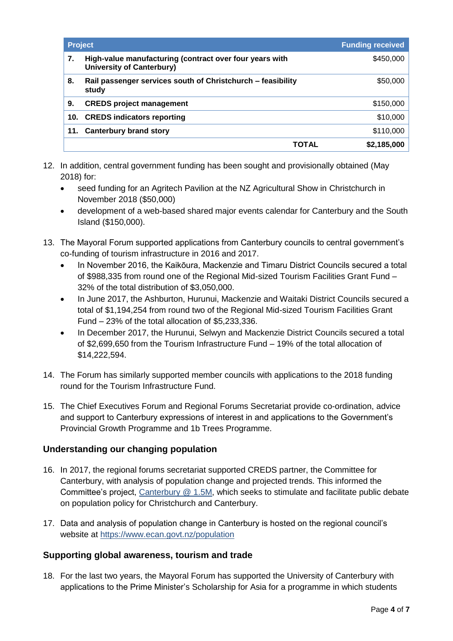| <b>Project</b> |                                                                                             | <b>Funding received</b> |
|----------------|---------------------------------------------------------------------------------------------|-------------------------|
| 7.             | High-value manufacturing (contract over four years with<br><b>University of Canterbury)</b> | \$450,000               |
| 8.             | Rail passenger services south of Christchurch - feasibility<br>study                        | \$50,000                |
| 9.             | <b>CREDS project management</b>                                                             | \$150,000               |
| 10.            | <b>CREDS indicators reporting</b>                                                           | \$10,000                |
| 11.            | <b>Canterbury brand story</b>                                                               | \$110,000               |
|                | TOTAL                                                                                       | \$2,185,000             |

- 12. In addition, central government funding has been sought and provisionally obtained (May 2018) for:
	- seed funding for an Agritech Pavilion at the NZ Agricultural Show in Christchurch in November 2018 (\$50,000)
	- development of a web-based shared major events calendar for Canterbury and the South Island (\$150,000).
- 13. The Mayoral Forum supported applications from Canterbury councils to central government's co-funding of tourism infrastructure in 2016 and 2017.
	- In November 2016, the Kaikōura, Mackenzie and Timaru District Councils secured a total of \$988,335 from round one of the Regional Mid-sized Tourism Facilities Grant Fund – 32% of the total distribution of \$3,050,000.
	- In June 2017, the Ashburton, Hurunui, Mackenzie and Waitaki District Councils secured a total of \$1,194,254 from round two of the Regional Mid-sized Tourism Facilities Grant Fund – 23% of the total allocation of \$5,233,336.
	- In December 2017, the Hurunui, Selwyn and Mackenzie District Councils secured a total of \$2,699,650 from the Tourism Infrastructure Fund – 19% of the total allocation of \$14,222,594.
- 14. The Forum has similarly supported member councils with applications to the 2018 funding round for the Tourism Infrastructure Fund.
- 15. The Chief Executives Forum and Regional Forums Secretariat provide co-ordination, advice and support to Canterbury expressions of interest in and applications to the Government's Provincial Growth Programme and 1b Trees Programme.

#### **Understanding our changing population**

- 16. In 2017, the regional forums secretariat supported CREDS partner, the Committee for Canterbury, with analysis of population change and projected trends. This informed the Committee's project, [Canterbury @ 1.5M,](http://canterburyatonepointfive.co.nz/) which seeks to stimulate and facilitate public debate on population policy for Christchurch and Canterbury.
- 17. Data and analysis of population change in Canterbury is hosted on the regional council's website at<https://www.ecan.govt.nz/population>

#### **Supporting global awareness, tourism and trade**

18. For the last two years, the Mayoral Forum has supported the University of Canterbury with applications to the Prime Minister's Scholarship for Asia for a programme in which students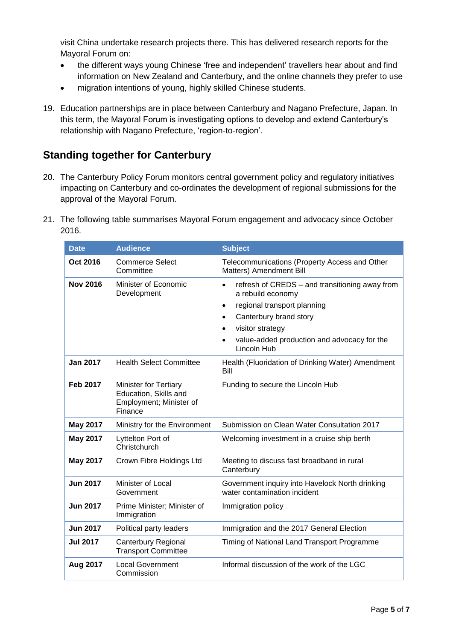visit China undertake research projects there. This has delivered research reports for the Mayoral Forum on:

- the different ways young Chinese 'free and independent' travellers hear about and find information on New Zealand and Canterbury, and the online channels they prefer to use
- migration intentions of young, highly skilled Chinese students.
- 19. Education partnerships are in place between Canterbury and Nagano Prefecture, Japan. In this term, the Mayoral Forum is investigating options to develop and extend Canterbury's relationship with Nagano Prefecture, 'region-to-region'.

### **Standing together for Canterbury**

- 20. The Canterbury Policy Forum monitors central government policy and regulatory initiatives impacting on Canterbury and co-ordinates the development of regional submissions for the approval of the Mayoral Forum.
- 21. The following table summarises Mayoral Forum engagement and advocacy since October 2016.

| <b>Date</b>     | <b>Audience</b>                                                                             | <b>Subject</b>                                                                                                                                                                                                                                             |
|-----------------|---------------------------------------------------------------------------------------------|------------------------------------------------------------------------------------------------------------------------------------------------------------------------------------------------------------------------------------------------------------|
| Oct 2016        | <b>Commerce Select</b><br>Committee                                                         | Telecommunications (Property Access and Other<br>Matters) Amendment Bill                                                                                                                                                                                   |
| <b>Nov 2016</b> | Minister of Economic<br>Development                                                         | refresh of CREDS - and transitioning away from<br>$\bullet$<br>a rebuild economy<br>regional transport planning<br>٠<br>Canterbury brand story<br>visitor strategy<br>$\bullet$<br>value-added production and advocacy for the<br>$\bullet$<br>Lincoln Hub |
| <b>Jan 2017</b> | <b>Health Select Committee</b>                                                              | Health (Fluoridation of Drinking Water) Amendment<br>Bill                                                                                                                                                                                                  |
| <b>Feb 2017</b> | <b>Minister for Tertiary</b><br>Education, Skills and<br>Employment; Minister of<br>Finance | Funding to secure the Lincoln Hub                                                                                                                                                                                                                          |
| <b>May 2017</b> | Ministry for the Environment                                                                | Submission on Clean Water Consultation 2017                                                                                                                                                                                                                |
| <b>May 2017</b> | Lyttelton Port of<br>Christchurch                                                           | Welcoming investment in a cruise ship berth                                                                                                                                                                                                                |
| <b>May 2017</b> | Crown Fibre Holdings Ltd                                                                    | Meeting to discuss fast broadband in rural<br>Canterbury                                                                                                                                                                                                   |
| <b>Jun 2017</b> | Minister of Local<br>Government                                                             | Government inquiry into Havelock North drinking<br>water contamination incident                                                                                                                                                                            |
| <b>Jun 2017</b> | Prime Minister; Minister of<br>Immigration                                                  | Immigration policy                                                                                                                                                                                                                                         |
| <b>Jun 2017</b> | Political party leaders                                                                     | Immigration and the 2017 General Election                                                                                                                                                                                                                  |
| <b>Jul 2017</b> | <b>Canterbury Regional</b><br><b>Transport Committee</b>                                    | Timing of National Land Transport Programme                                                                                                                                                                                                                |
| Aug 2017        | <b>Local Government</b><br>Commission                                                       | Informal discussion of the work of the LGC                                                                                                                                                                                                                 |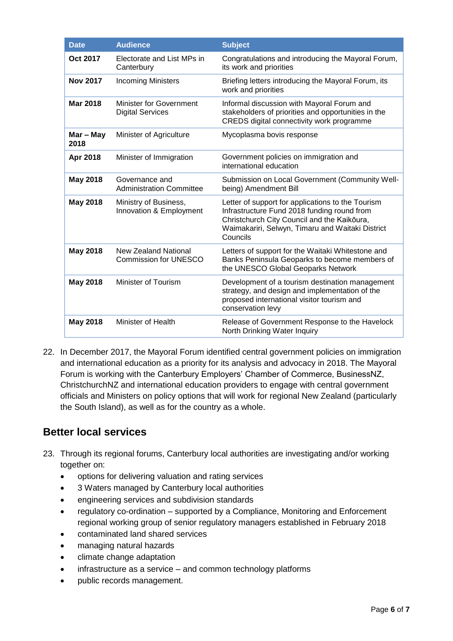| <b>Date</b>       | <b>Audience</b>                                             | <b>Subject</b>                                                                                                                                                                                                  |
|-------------------|-------------------------------------------------------------|-----------------------------------------------------------------------------------------------------------------------------------------------------------------------------------------------------------------|
| Oct 2017          | Electorate and List MPs in<br>Canterbury                    | Congratulations and introducing the Mayoral Forum,<br>its work and priorities                                                                                                                                   |
| <b>Nov 2017</b>   | <b>Incoming Ministers</b>                                   | Briefing letters introducing the Mayoral Forum, its<br>work and priorities                                                                                                                                      |
| <b>Mar 2018</b>   | <b>Minister for Government</b><br><b>Digital Services</b>   | Informal discussion with Mayoral Forum and<br>stakeholders of priorities and opportunities in the<br>CREDS digital connectivity work programme                                                                  |
| Mar - May<br>2018 | Minister of Agriculture                                     | Mycoplasma bovis response                                                                                                                                                                                       |
| Apr 2018          | Minister of Immigration                                     | Government policies on immigration and<br>international education                                                                                                                                               |
| <b>May 2018</b>   | Governance and<br><b>Administration Committee</b>           | Submission on Local Government (Community Well-<br>being) Amendment Bill                                                                                                                                        |
| <b>May 2018</b>   | Ministry of Business,<br>Innovation & Employment            | Letter of support for applications to the Tourism<br>Infrastructure Fund 2018 funding round from<br>Christchurch City Council and the Kaikōura,<br>Waimakariri, Selwyn, Timaru and Waitaki District<br>Councils |
| <b>May 2018</b>   | <b>New Zealand National</b><br><b>Commission for UNESCO</b> | Letters of support for the Waitaki Whitestone and<br>Banks Peninsula Geoparks to become members of<br>the UNESCO Global Geoparks Network                                                                        |
| <b>May 2018</b>   | Minister of Tourism                                         | Development of a tourism destination management<br>strategy, and design and implementation of the<br>proposed international visitor tourism and<br>conservation levy                                            |
| <b>May 2018</b>   | Minister of Health                                          | Release of Government Response to the Havelock<br>North Drinking Water Inquiry                                                                                                                                  |

22. In December 2017, the Mayoral Forum identified central government policies on immigration and international education as a priority for its analysis and advocacy in 2018. The Mayoral Forum is working with the Canterbury Employers' Chamber of Commerce, BusinessNZ, ChristchurchNZ and international education providers to engage with central government officials and Ministers on policy options that will work for regional New Zealand (particularly the South Island), as well as for the country as a whole.

### **Better local services**

- 23. Through its regional forums, Canterbury local authorities are investigating and/or working together on:
	- options for delivering valuation and rating services
	- 3 Waters managed by Canterbury local authorities
	- engineering services and subdivision standards
	- regulatory co-ordination supported by a Compliance, Monitoring and Enforcement regional working group of senior regulatory managers established in February 2018
	- contaminated land shared services
	- managing natural hazards
	- climate change adaptation
	- infrastructure as a service and common technology platforms
	- public records management.